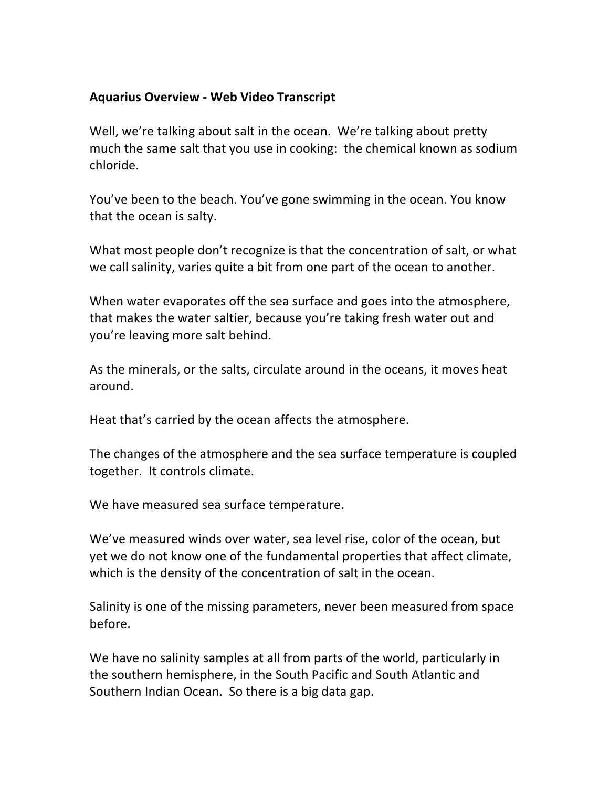## **Aquarius
Overview
‐ Web
Video
Transcript**

Well, we're talking about salt in the ocean. We're talking about pretty much the same salt that you use in cooking: the chemical known as sodium chloride.

You've been to the beach. You've gone swimming in the ocean. You know that
the
ocean
is
salty.

What most people don't recognize is that the concentration of salt, or what we call salinity, varies quite a bit from one part of the ocean to another.

When water evaporates off the sea surface and goes into the atmosphere, that makes the water saltier, because you're taking fresh water out and you're
leaving
more
salt
behind.

As the minerals, or the salts, circulate around in the oceans, it moves heat around.

Heat
that's
carried
by
the
ocean
affects
the
atmosphere.

The changes of the atmosphere and the sea surface temperature is coupled together. It controls climate.

We have measured sea surface temperature.

We've measured winds over water, sea level rise, color of the ocean, but yet we do not know one of the fundamental properties that affect climate, which is the density of the concentration of salt in the ocean.

Salinity is one of the missing parameters, never been measured from space before.

We have no salinity samples at all from parts of the world, particularly in the
southern
hemisphere,
in
the
South
Pacific
and
South
Atlantic
and Southern Indian Ocean. So there is a big data gap.